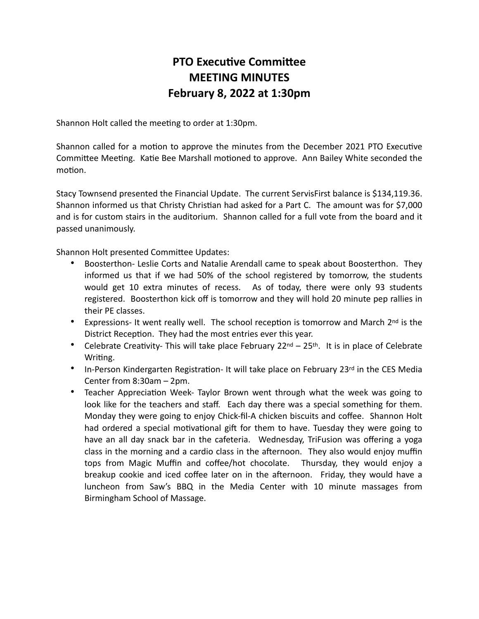## **PTO Executive Committee MEETING MINUTES February 8, 2022 at 1:30pm**

Shannon Holt called the meeting to order at 1:30pm.

Shannon called for a motion to approve the minutes from the December 2021 PTO Executive Committee Meeting. Katie Bee Marshall motioned to approve. Ann Bailey White seconded the motion.

Stacy Townsend presented the Financial Update. The current ServisFirst balance is \$134,119.36. Shannon informed us that Christy Christian had asked for a Part C. The amount was for \$7,000 and is for custom stairs in the auditorium. Shannon called for a full vote from the board and it passed unanimously.

Shannon Holt presented Committee Updates:

- Boosterthon- Leslie Corts and Natalie Arendall came to speak about Boosterthon. They informed us that if we had 50% of the school registered by tomorrow, the students would get 10 extra minutes of recess. As of today, there were only 93 students registered. Boosterthon kick off is tomorrow and they will hold 20 minute pep rallies in their PE classes.
- Expressions- It went really well. The school reception is tomorrow and March 2<sup>nd</sup> is the District Reception. They had the most entries ever this year.
- Celebrate Creativity- This will take place February 22nd 25th. It is in place of Celebrate Writing.
- In-Person Kindergarten Registration- It will take place on February 23rd in the CES Media Center from 8:30am – 2pm.
- Teacher Appreciation Week- Taylor Brown went through what the week was going to look like for the teachers and staff. Each day there was a special something for them. Monday they were going to enjoy Chick-fil-A chicken biscuits and coffee. Shannon Holt had ordered a special motivational gift for them to have. Tuesday they were going to have an all day snack bar in the cafeteria. Wednesday, TriFusion was offering a yoga class in the morning and a cardio class in the afternoon. They also would enjoy muffin tops from Magic Muffin and coffee/hot chocolate. Thursday, they would enjoy a breakup cookie and iced coffee later on in the afternoon. Friday, they would have a luncheon from Saw's BBQ in the Media Center with 10 minute massages from Birmingham School of Massage.